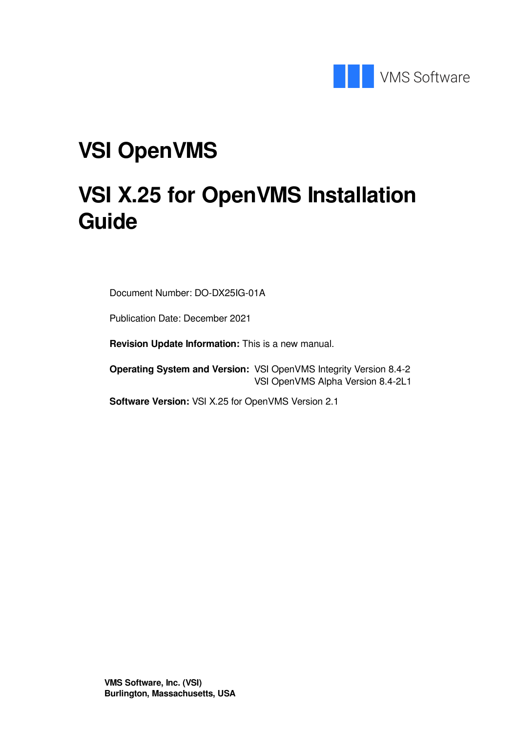

## **VSI OpenVMS**

## **VSI X.25 for OpenVMS Installation Guide**

Document Number: DO-DX25IG-01A

Publication Date: December 2021

**Revision Update Information:** This is a new manual.

**Operating System and Version:** VSI OpenVMS Integrity Version 8.4-2 VSI OpenVMS Alpha Version 8.4-2L1

**Software Version:** VSI X.25 for OpenVMS Version 2.1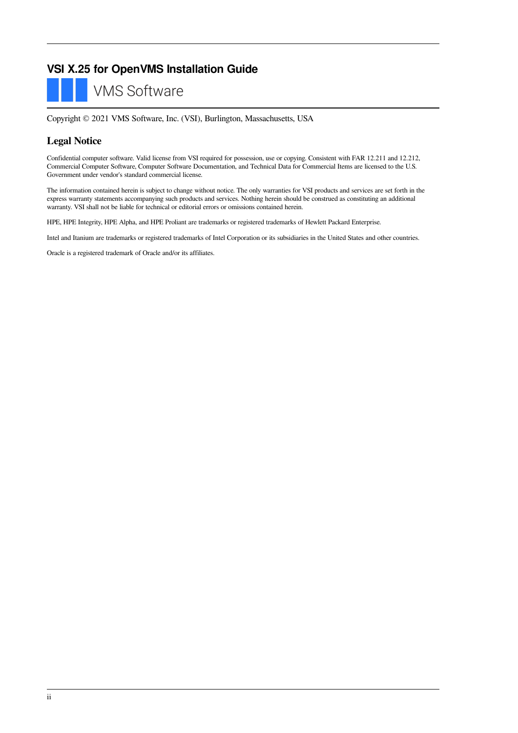#### **VSI X.25 for OpenVMS Installation Guide**

**VMS Software** 

Copyright © 2021 VMS Software, Inc. (VSI), Burlington, Massachusetts, USA

#### **Legal Notice**

Confidential computer software. Valid license from VSI required for possession, use or copying. Consistent with FAR 12.211 and 12.212, Commercial Computer Software, Computer Software Documentation, and Technical Data for Commercial Items are licensed to the U.S. Government under vendor's standard commercial license.

The information contained herein is subject to change without notice. The only warranties for VSI products and services are set forth in the express warranty statements accompanying such products and services. Nothing herein should be construed as constituting an additional warranty. VSI shall not be liable for technical or editorial errors or omissions contained herein.

HPE, HPE Integrity, HPE Alpha, and HPE Proliant are trademarks or registered trademarks of Hewlett Packard Enterprise.

Intel and Itanium are trademarks or registered trademarks of Intel Corporation or its subsidiaries in the United States and other countries.

Oracle is a registered trademark of Oracle and/or its affiliates.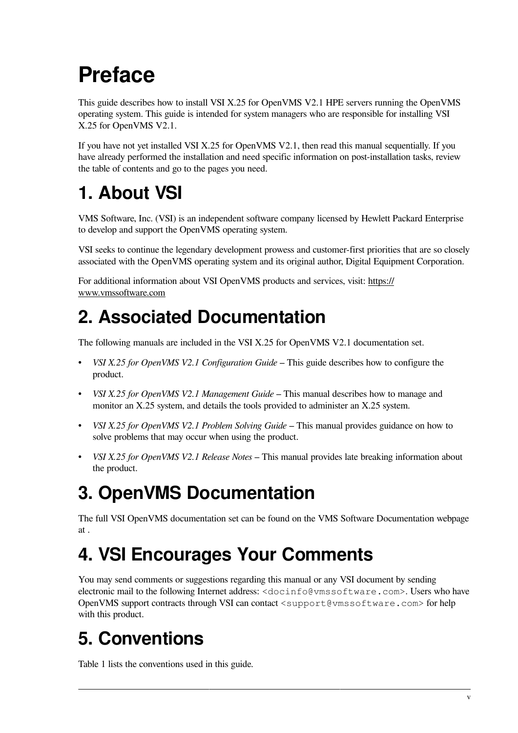# <span id="page-4-0"></span>**Preface**

This guide describes how to install VSI X.25 for OpenVMS V2.1 HPE servers running the OpenVMS operating system. This guide is intended for system managers who are responsible for installing VSI X.25 for OpenVMS V2.1.

If you have not yet installed VSI X.25 for OpenVMS V2.1, then read this manual sequentially. If you have already performed the installation and need specific information on post-installation tasks, review the table of contents and go to the pages you need.

### <span id="page-4-1"></span>**1. About VSI**

VMS Software, Inc. (VSI) is an independent software company licensed by Hewlett Packard Enterprise to develop and support the OpenVMS operating system.

VSI seeks to continue the legendary development prowess and customer-first priorities that are so closely associated with the OpenVMS operating system and its original author, Digital Equipment Corporation.

For additional information about VSI OpenVMS products and services, visit: https:// www.vmssoftware.com

### <span id="page-4-2"></span>**2. Associated Documentation**

The following manuals are included in the VSI X.25 for OpenVMS V2.1 documentation set.

- *VSI X.25 for OpenVMS V2.1 Configuration Guide* This guide describes how to configure the product.
- *VSI X.25 for OpenVMS V2.1 Management Guide* This manual describes how to manage and monitor an X.25 system, and details the tools provided to administer an X.25 system.
- *VSI X.25 for OpenVMS V2.1 Problem Solving Guide* This manual provides guidance on how to solve problems that may occur when using the product.
- *VSI X.25 for OpenVMS V2.1 Release Notes* This manual provides late breaking information about the product.

### <span id="page-4-3"></span>**3. OpenVMS Documentation**

The full VSI OpenVMS documentation set can be found on the VMS Software Documentation webpage at .

### <span id="page-4-4"></span>**4. VSI Encourages Your Comments**

You may send comments or suggestions regarding this manual or any VSI document by sending electronic mail to the following Internet address: <docinfo@vmssoftware.com>. Users who have OpenVMS support contracts through VSI can contact <support@vmssoftware.com> for help with this product.

### <span id="page-4-5"></span>**5. Conventions**

[Table](#page-5-0) 1 lists the conventions used in this guide.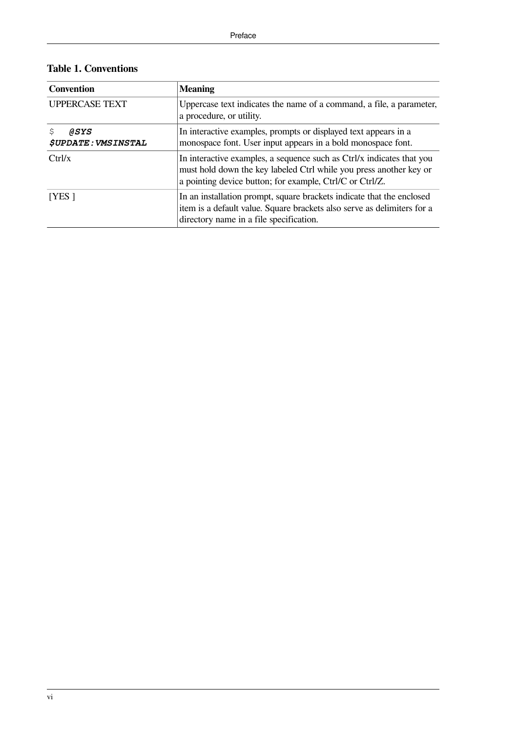<span id="page-5-0"></span>

|  |  | <b>Table 1. Conventions</b> |
|--|--|-----------------------------|
|--|--|-----------------------------|

| <b>Convention</b>                         | <b>Meaning</b>                                                                                                                                                                                          |
|-------------------------------------------|---------------------------------------------------------------------------------------------------------------------------------------------------------------------------------------------------------|
| <b>UPPERCASE TEXT</b>                     | Uppercase text indicates the name of a command, a file, a parameter,<br>a procedure, or utility.                                                                                                        |
| ASYS<br><i><b>\$UPDATE: VMSINSTAL</b></i> | In interactive examples, prompts or displayed text appears in a<br>monospace font. User input appears in a bold monospace font.                                                                         |
| Ctrl/x                                    | In interactive examples, a sequence such as Ctrl/x indicates that you<br>must hold down the key labeled Ctrl while you press another key or<br>a pointing device button; for example, Ctrl/C or Ctrl/Z. |
| [YES]                                     | In an installation prompt, square brackets indicate that the enclosed<br>item is a default value. Square brackets also serve as delimiters for a<br>directory name in a file specification.             |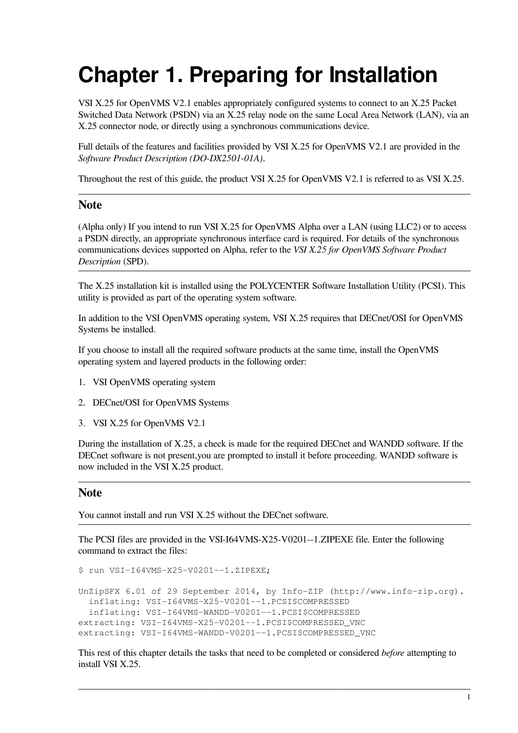## <span id="page-6-0"></span>**Chapter 1. Preparing for Installation**

VSI X.25 for OpenVMS V2.1 enables appropriately configured systems to connect to an X.25 Packet Switched Data Network (PSDN) via an X.25 relay node on the same Local Area Network (LAN), via an X.25 connector node, or directly using a synchronous communications device.

Full details of the features and facilities provided by VSI X.25 for OpenVMS V2.1 are provided in the *Software Product Description (DO-DX2501-01A)*.

Throughout the rest of this guide, the product VSI X.25 for OpenVMS V2.1 is referred to as VSI X.25.

#### **Note**

(Alpha only) If you intend to run VSI X.25 for OpenVMS Alpha over a LAN (using LLC2) or to access a PSDN directly, an appropriate synchronous interface card is required. For details of the synchronous communications devices supported on Alpha, refer to the *VSI X.25 for OpenVMS Software Product Description* (SPD).

The X.25 installation kit is installed using the POLYCENTER Software Installation Utility (PCSI). This utility is provided as part of the operating system software.

In addition to the VSI OpenVMS operating system, VSI X.25 requires that DECnet/OSI for OpenVMS Systems be installed.

If you choose to install all the required software products at the same time, install the OpenVMS operating system and layered products in the following order:

- 1. VSI OpenVMS operating system
- 2. DECnet/OSI for OpenVMS Systems
- 3. VSI X.25 for OpenVMS V2.1

During the installation of X.25, a check is made for the required DECnet and WANDD software. If the DECnet software is not present,you are prompted to install it before proceeding. WANDD software is now included in the VSI X.25 product.

#### **Note**

You cannot install and run VSI X.25 without the DECnet software.

The PCSI files are provided in the VSI-I64VMS-X25-V0201--1.ZIPEXE file. Enter the following command to extract the files:

\$ run VSI-I64VMS-X25-V0201--1.ZIPEXE; UnZipSFX 6.01 of 29 September 2014, by Info-ZIP (http://www.info-zip.org). inflating: VSI-I64VMS-X25-V0201--1.PCSI\$COMPRESSED inflating: VSI-I64VMS-WANDD-V0201--1.PCSI\$COMPRESSED extracting: VSI-I64VMS-X25-V0201--1.PCSI\$COMPRESSED\_VNC extracting: VSI-I64VMS-WANDD-V0201--1.PCSI\$COMPRESSED\_VNC

This rest of this chapter details the tasks that need to be completed or considered *before* attempting to install VSI X.25.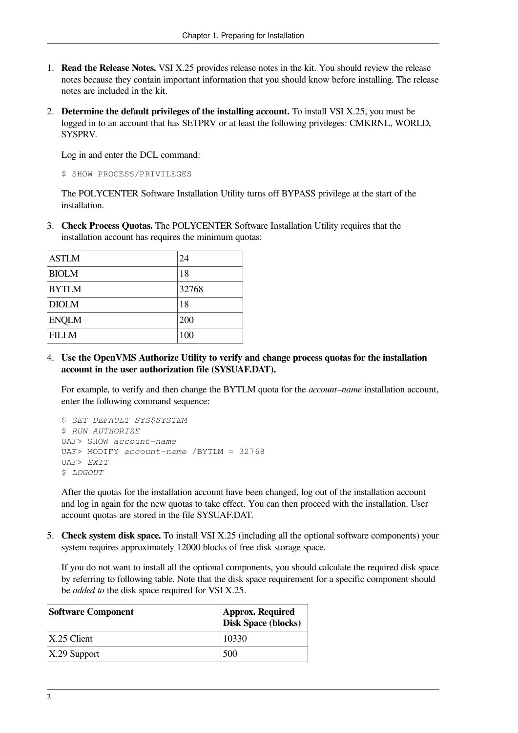- 1. **Read the Release Notes.** VSI X.25 provides release notes in the kit. You should review the release notes because they contain important information that you should know before installing. The release notes are included in the kit.
- 2. **Determine the default privileges of the installing account.** To install VSI X.25, you must be logged in to an account that has SETPRV or at least the following privileges: CMKRNL, WORLD, SYSPRV.

Log in and enter the DCL command:

\$ SHOW PROCESS/PRIVILEGES

The POLYCENTER Software Installation Utility turns off BYPASS privilege at the start of the installation.

3. **Check Process Quotas.** The POLYCENTER Software Installation Utility requires that the installation account has requires the minimum quotas:

| <b>ASTLM</b> | 24    |
|--------------|-------|
| <b>BIOLM</b> | 18    |
| <b>BYTLM</b> | 32768 |
| <b>DIOLM</b> | 18    |
| <b>ENQLM</b> | 200   |
| <b>FILLM</b> | 100   |

4. **Use the OpenVMS Authorize Utility to verify and change process quotas for the installation account in the user authorization file (SYSUAF.DAT).**

For example, to verify and then change the BYTLM quota for the *account–name* installation account, enter the following command sequence:

```
$ SET DEFAULT SYS$SYSTEM
$ RUN AUTHORIZE
UAF> SHOW account-name
UAF> MODIFY account-name /BYTLM = 32768
UAF> EXIT
$ LOGOUT
```
After the quotas for the installation account have been changed, log out of the installation account and log in again for the new quotas to take effect. You can then proceed with the installation. User account quotas are stored in the file SYSUAF.DAT.

5. **Check system disk space.** To install VSI X.25 (including all the optional software components) your system requires approximately 12000 blocks of free disk storage space.

If you do not want to install all the optional components, you should calculate the required disk space by referring to following table. Note that the disk space requirement for a specific component should be *added to* the disk space required for VSI X.25.

| <b>Software Component</b> | <b>Approx. Required</b><br><b>Disk Space (blocks)</b> |
|---------------------------|-------------------------------------------------------|
| $X.25$ Client             | 10330                                                 |
| $ X.29$ Support           | 500                                                   |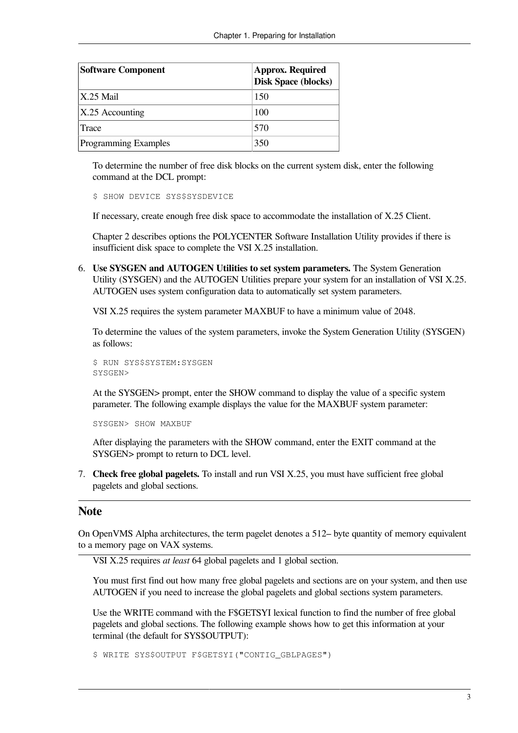| <b>Software Component</b>   | <b>Approx. Required</b><br><b>Disk Space (blocks)</b> |
|-----------------------------|-------------------------------------------------------|
| $X.25$ Mail                 | 150                                                   |
| $X.25$ Accounting           | 100                                                   |
| Trace                       | 570                                                   |
| <b>Programming Examples</b> | 350                                                   |

To determine the number of free disk blocks on the current system disk, enter the following command at the DCL prompt:

\$ SHOW DEVICE SYS\$SYSDEVICE

If necessary, create enough free disk space to accommodate the installation of X.25 Client.

[Chapter](#page-12-0) 2 describes options the POLYCENTER Software Installation Utility provides if there is insufficient disk space to complete the VSI X.25 installation.

6. **Use SYSGEN and AUTOGEN Utilities to set system parameters.** The System Generation Utility (SYSGEN) and the AUTOGEN Utilities prepare your system for an installation of VSI X.25. AUTOGEN uses system configuration data to automatically set system parameters.

VSI X.25 requires the system parameter MAXBUF to have a minimum value of 2048.

To determine the values of the system parameters, invoke the System Generation Utility (SYSGEN) as follows:

```
$ RUN SYS$SYSTEM: SYSGEN
SYSGEN>
```
At the SYSGEN> prompt, enter the SHOW command to display the value of a specific system parameter. The following example displays the value for the MAXBUF system parameter:

SYSGEN> SHOW MAXBUF

After displaying the parameters with the SHOW command, enter the EXIT command at the SYSGEN> prompt to return to DCL level.

7. **Check free global pagelets.** To install and run VSI X.25, you must have sufficient free global pagelets and global sections.

#### **Note**

On OpenVMS Alpha architectures, the term pagelet denotes a 512– byte quantity of memory equivalent to a memory page on VAX systems.

VSI X.25 requires *at least* 64 global pagelets and 1 global section.

You must first find out how many free global pagelets and sections are on your system, and then use AUTOGEN if you need to increase the global pagelets and global sections system parameters.

Use the WRITE command with the F\$GETSYI lexical function to find the number of free global pagelets and global sections. The following example shows how to get this information at your terminal (the default for SYS\$OUTPUT):

\$ WRITE SYS\$OUTPUT F\$GETSYI("CONTIG GBLPAGES")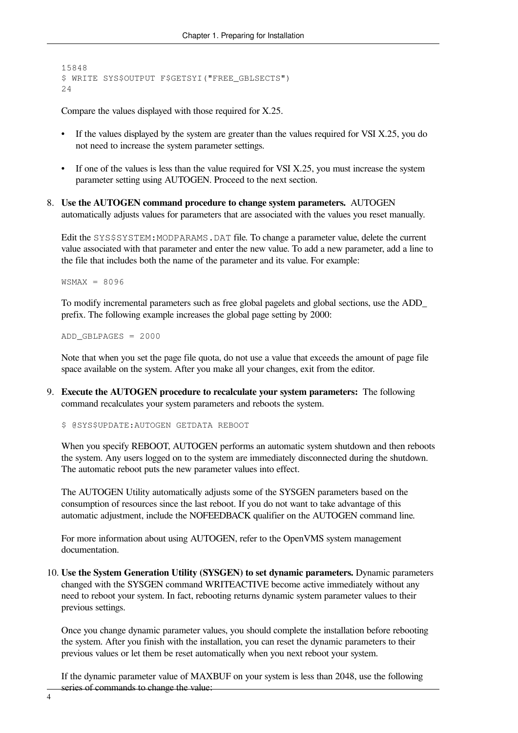```
15848
$ WRITE SYS$OUTPUT F$GETSYI("FREE_GBLSECTS")
24
```
Compare the values displayed with those required for X.25.

- If the values displayed by the system are greater than the values required for VSI X.25, you do not need to increase the system parameter settings.
- If one of the values is less than the value required for VSI X.25, you must increase the system parameter setting using AUTOGEN. Proceed to the next section.
- 8. **Use the AUTOGEN command procedure to change system parameters.** AUTOGEN automatically adjusts values for parameters that are associated with the values you reset manually.

Edit the SYS\$SYSTEM: MODPARAMS. DAT file. To change a parameter value, delete the current value associated with that parameter and enter the new value. To add a new parameter, add a line to the file that includes both the name of the parameter and its value. For example:

 $WSMAX = 8096$ 

To modify incremental parameters such as free global pagelets and global sections, use the ADD\_ prefix. The following example increases the global page setting by 2000:

ADD\_GBLPAGES = 2000

Note that when you set the page file quota, do not use a value that exceeds the amount of page file space available on the system. After you make all your changes, exit from the editor.

9. **Execute the AUTOGEN procedure to recalculate your system parameters:** The following command recalculates your system parameters and reboots the system.

\$ @SYS\$UPDATE:AUTOGEN GETDATA REBOOT

When you specify REBOOT, AUTOGEN performs an automatic system shutdown and then reboots the system. Any users logged on to the system are immediately disconnected during the shutdown. The automatic reboot puts the new parameter values into effect.

The AUTOGEN Utility automatically adjusts some of the SYSGEN parameters based on the consumption of resources since the last reboot. If you do not want to take advantage of this automatic adjustment, include the NOFEEDBACK qualifier on the AUTOGEN command line.

For more information about using AUTOGEN, refer to the OpenVMS system management documentation.

10. **Use the System Generation Utility (SYSGEN) to set dynamic parameters.** Dynamic parameters changed with the SYSGEN command WRITEACTIVE become active immediately without any need to reboot your system. In fact, rebooting returns dynamic system parameter values to their previous settings.

Once you change dynamic parameter values, you should complete the installation before rebooting the system. After you finish with the installation, you can reset the dynamic parameters to their previous values or let them be reset automatically when you next reboot your system.

If the dynamic parameter value of MAXBUF on your system is less than 2048, use the following series of commands to change the value: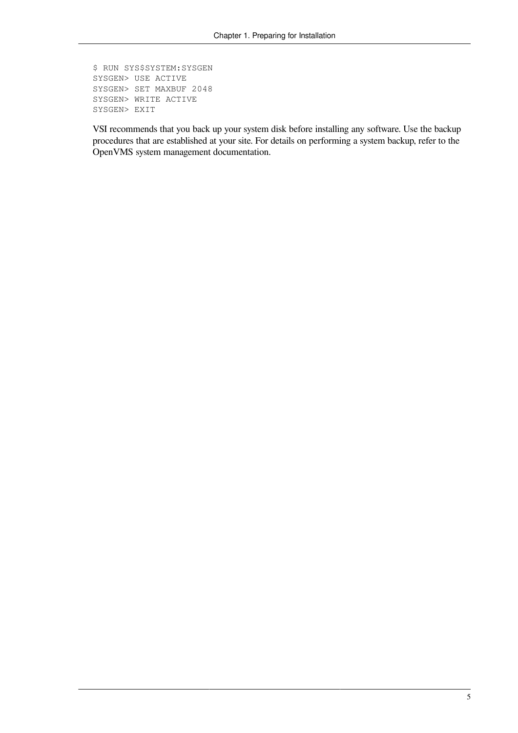```
$ RUN SYS$SYSTEM:SYSGEN
SYSGEN> USE ACTIVE
SYSGEN> SET MAXBUF 2048
SYSGEN> WRITE ACTIVE
SYSGEN> EXIT
```
VSI recommends that you back up your system disk before installing any software. Use the backup procedures that are established at your site. For details on performing a system backup, refer to the OpenVMS system management documentation.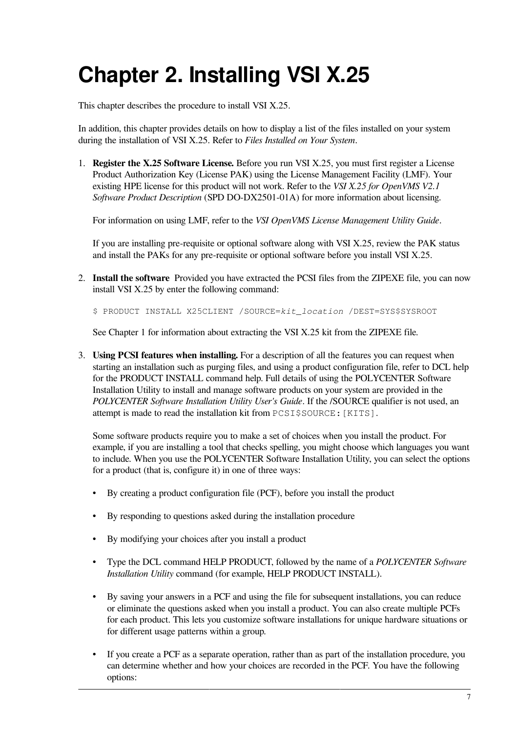# <span id="page-12-0"></span>**Chapter 2. Installing VSI X.25**

This chapter describes the procedure to install VSI X.25.

In addition, this chapter provides details on how to display a list of the files installed on your system during the installation of VSI X.25. Refer to *Files Installed on Your System*.

1. **Register the X.25 Software License.** Before you run VSI X.25, you must first register a License Product Authorization Key (License PAK) using the License Management Facility (LMF). Your existing HPE license for this product will not work. Refer to the *VSI X.25 for OpenVMS V2.1 Software Product Description* (SPD DO-DX2501-01A) for more information about licensing.

For information on using LMF, refer to the *VSI OpenVMS License Management Utility Guide*.

If you are installing pre-requisite or optional software along with VSI X.25, review the PAK status and install the PAKs for any pre-requisite or optional software before you install VSI X.25.

2. **Install the software** Provided you have extracted the PCSI files from the ZIPEXE file, you can now install VSI X.25 by enter the following command:

\$ PRODUCT INSTALL X25CLIENT /SOURCE=*kit\_location* /DEST=SYS\$SYSROOT

See Chapter 1 for information about extracting the VSI X.25 kit from the ZIPEXE file.

3. **Using PCSI features when installing.** For a description of all the features you can request when starting an installation such as purging files, and using a product configuration file, refer to DCL help for the PRODUCT INSTALL command help. Full details of using the POLYCENTER Software Installation Utility to install and manage software products on your system are provided in the *POLYCENTER Software Installation Utility User's Guide*. If the /SOURCE qualifier is not used, an attempt is made to read the installation kit from PCSI\$SOURCE:[KITS].

Some software products require you to make a set of choices when you install the product. For example, if you are installing a tool that checks spelling, you might choose which languages you want to include. When you use the POLYCENTER Software Installation Utility, you can select the options for a product (that is, configure it) in one of three ways:

- By creating a product configuration file (PCF), before you install the product
- By responding to questions asked during the installation procedure
- By modifying your choices after you install a product
- Type the DCL command HELP PRODUCT, followed by the name of a *POLYCENTER Software Installation Utility* command (for example, HELP PRODUCT INSTALL).
- By saving your answers in a PCF and using the file for subsequent installations, you can reduce or eliminate the questions asked when you install a product. You can also create multiple PCFs for each product. This lets you customize software installations for unique hardware situations or for different usage patterns within a group.
- If you create a PCF as a separate operation, rather than as part of the installation procedure, you can determine whether and how your choices are recorded in the PCF. You have the following options: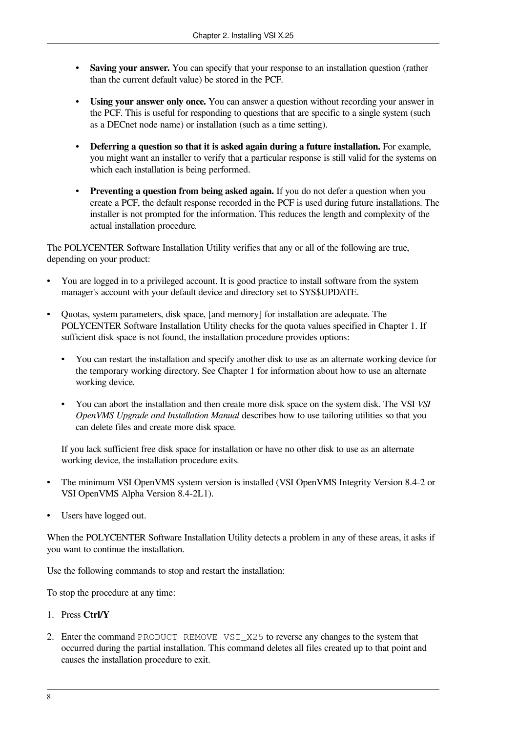- **Saving your answer.** You can specify that your response to an installation question (rather than the current default value) be stored in the PCF.
- **Using your answer only once.** You can answer a question without recording your answer in the PCF. This is useful for responding to questions that are specific to a single system (such as a DECnet node name) or installation (such as a time setting).
- **Deferring a question so that it is asked again during a future installation.** For example, you might want an installer to verify that a particular response is still valid for the systems on which each installation is being performed.
- **Preventing a question from being asked again.** If you do not defer a question when you create a PCF, the default response recorded in the PCF is used during future installations. The installer is not prompted for the information. This reduces the length and complexity of the actual installation procedure.

The POLYCENTER Software Installation Utility verifies that any or all of the following are true, depending on your product:

- You are logged in to a privileged account. It is good practice to install software from the system manager's account with your default device and directory set to SYS\$UPDATE.
- Quotas, system parameters, disk space, [and memory] for installation are adequate. The POLYCENTER Software Installation Utility checks for the quota values specified in [Chapter](#page-6-0) 1. If sufficient disk space is not found, the installation procedure provides options:
	- You can restart the installation and specify another disk to use as an alternate working device for the temporary working directory. See [Chapter](#page-6-0) 1 for information about how to use an alternate working device.
	- You can abort the installation and then create more disk space on the system disk. The VSI *VSI OpenVMS Upgrade and Installation Manual* describes how to use tailoring utilities so that you can delete files and create more disk space.

If you lack sufficient free disk space for installation or have no other disk to use as an alternate working device, the installation procedure exits.

- The minimum VSI OpenVMS system version is installed (VSI OpenVMS Integrity Version 8.4-2 or VSI OpenVMS Alpha Version 8.4-2L1).
- Users have logged out.

When the POLYCENTER Software Installation Utility detects a problem in any of these areas, it asks if you want to continue the installation.

Use the following commands to stop and restart the installation:

To stop the procedure at any time:

- 1. Press **Ctrl/Y**
- 2. Enter the command PRODUCT REMOVE VSI\_X25 to reverse any changes to the system that occurred during the partial installation. This command deletes all files created up to that point and causes the installation procedure to exit.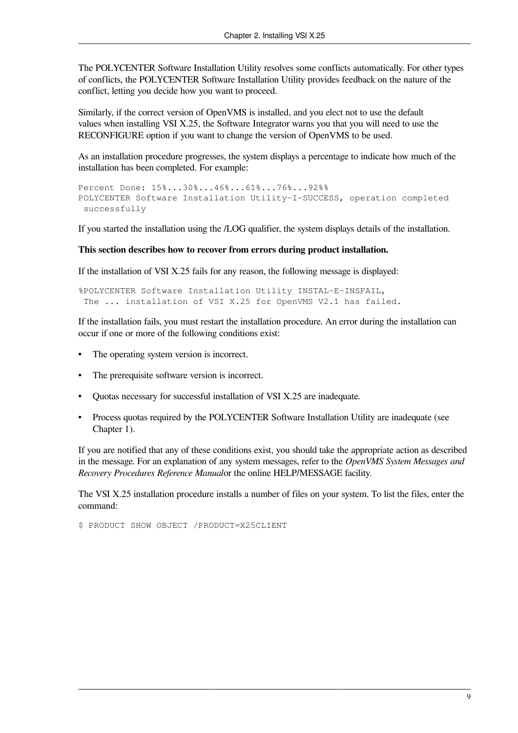The POLYCENTER Software Installation Utility resolves some conflicts automatically. For other types of conflicts, the POLYCENTER Software Installation Utility provides feedback on the nature of the conflict, letting you decide how you want to proceed.

Similarly, if the correct version of OpenVMS is installed, and you elect not to use the default values when installing VSI X.25, the Software Integrator warns you that you will need to use the RECONFIGURE option if you want to change the version of OpenVMS to be used.

As an installation procedure progresses, the system displays a percentage to indicate how much of the installation has been completed. For example:

```
Percent Done: 15%...30%...46%...61%...76%...92%%
POLYCENTER Software Installation Utility-I-SUCCESS, operation completed
  successfully
```
If you started the installation using the /LOG qualifier, the system displays details of the installation.

#### **This section describes how to recover from errors during product installation.**

If the installation of VSI X.25 fails for any reason, the following message is displayed:

```
%POLYCENTER Software Installation Utility INSTAL-E-INSFAIL,
 The ... installation of VSI X.25 for OpenVMS V2.1 has failed.
```
If the installation fails, you must restart the installation procedure. An error during the installation can occur if one or more of the following conditions exist:

- The operating system version is incorrect.
- The prerequisite software version is incorrect.
- Quotas necessary for successful installation of VSI X.25 are inadequate.
- Process quotas required by the POLYCENTER Software Installation Utility are inadequate (see [Chapter](#page-6-0) 1).

If you are notified that any of these conditions exist, you should take the appropriate action as described in the message. For an explanation of any system messages, refer to the *OpenVMS System Messages and Recovery Procedures Reference Manual*or the online HELP/MESSAGE facility.

The VSI X.25 installation procedure installs a number of files on your system. To list the files, enter the command:

\$ PRODUCT SHOW OBJECT /PRODUCT=X25CLIENT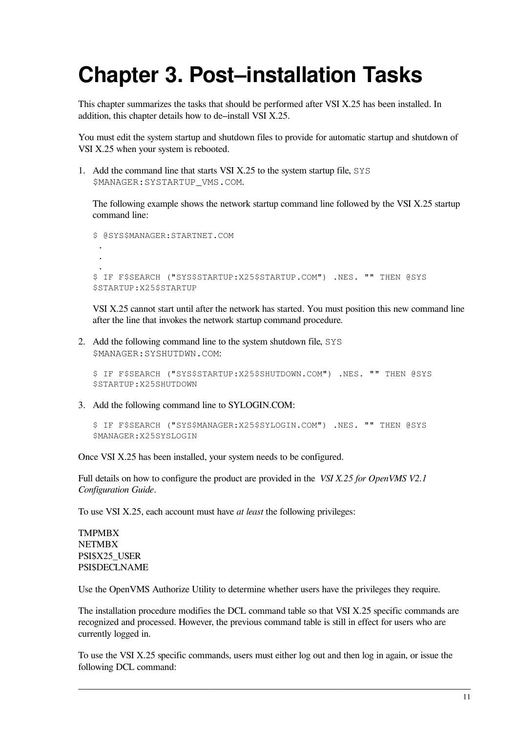## <span id="page-16-0"></span>**Chapter 3. Post–installation Tasks**

This chapter summarizes the tasks that should be performed after VSI X.25 has been installed. In addition, this chapter details how to de–install VSI X.25.

You must edit the system startup and shutdown files to provide for automatic startup and shutdown of VSI X.25 when your system is rebooted.

1. Add the command line that starts VSI X.25 to the system startup file, SYS \$MANAGER:SYSTARTUP\_VMS.COM.

The following example shows the network startup command line followed by the VSI X.25 startup command line:

```
$ @SYS$MANAGER:STARTNET.COM
 .
  .
 .
$ IF F$SEARCH ("SYS$STARTUP:X25$STARTUP.COM") .NES. "" THEN @SYS
$STARTUP:X25$STARTUP
```
VSI X.25 cannot start until after the network has started. You must position this new command line after the line that invokes the network startup command procedure.

2. Add the following command line to the system shutdown file, SYS \$MANAGER:SYSHUTDWN.COM:

```
$ IF F$SEARCH ("SYS$STARTUP:X25$SHUTDOWN.COM") .NES. "" THEN @SYS
$STARTUP:X25SHUTDOWN
```
3. Add the following command line to SYLOGIN.COM:

```
$ IF F$SEARCH ("SYS$MANAGER:X25$SYLOGIN.COM") .NES. "" THEN @SYS
$MANAGER:X25SYSLOGIN
```
Once VSI X.25 has been installed, your system needs to be configured.

Full details on how to configure the product are provided in the *VSI X.25 for OpenVMS V2.1 Configuration Guide*.

To use VSI X.25, each account must have *at least* the following privileges:

TMPMBX **NETMBX** PSI\$X25\_USER PSI\$DECLNAME

Use the OpenVMS Authorize Utility to determine whether users have the privileges they require.

The installation procedure modifies the DCL command table so that VSI X.25 specific commands are recognized and processed. However, the previous command table is still in effect for users who are currently logged in.

To use the VSI X.25 specific commands, users must either log out and then log in again, or issue the following DCL command: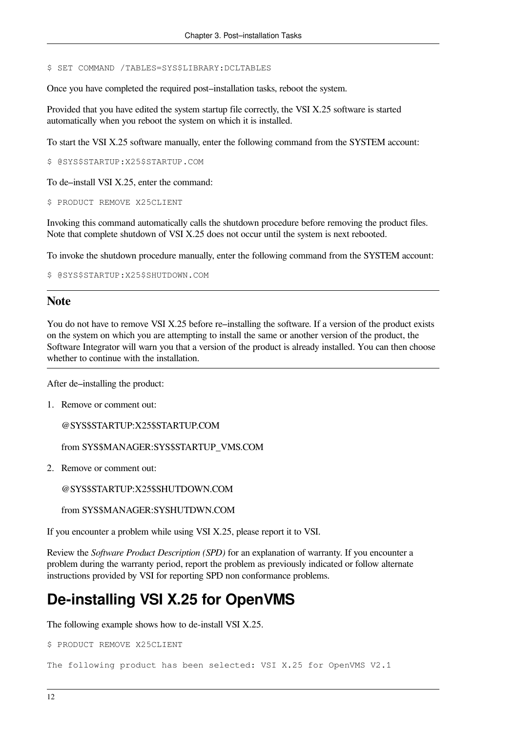\$ SET COMMAND /TABLES=SYS\$LIBRARY:DCLTABLES

Once you have completed the required post–installation tasks, reboot the system.

Provided that you have edited the system startup file correctly, the VSI X.25 software is started automatically when you reboot the system on which it is installed.

To start the VSI X.25 software manually, enter the following command from the SYSTEM account:

\$ @SYS\$STARTUP:X25\$STARTUP.COM

To de–install VSI X.25, enter the command:

\$ PRODUCT REMOVE X25CLIENT

Invoking this command automatically calls the shutdown procedure before removing the product files. Note that complete shutdown of VSI X.25 does not occur until the system is next rebooted.

To invoke the shutdown procedure manually, enter the following command from the SYSTEM account:

```
$ @SYS$STARTUP:X25$SHUTDOWN.COM
```
#### **Note**

You do not have to remove VSI X.25 before re–installing the software. If a version of the product exists on the system on which you are attempting to install the same or another version of the product, the Software Integrator will warn you that a version of the product is already installed. You can then choose whether to continue with the installation.

After de–installing the product:

1. Remove or comment out:

@SYS\$STARTUP:X25\$STARTUP.COM

from SYS\$MANAGER:SYS\$STARTUP\_VMS.COM

2. Remove or comment out:

@SYS\$STARTUP:X25\$SHUTDOWN.COM

from SYS\$MANAGER:SYSHUTDWN.COM

If you encounter a problem while using VSI X.25, please report it to VSI.

Review the *Software Product Description (SPD)* for an explanation of warranty. If you encounter a problem during the warranty period, report the problem as previously indicated or follow alternate instructions provided by VSI for reporting SPD non conformance problems.

### **De-installing VSI X.25 for OpenVMS**

The following example shows how to de-install VSI X.25.

\$ PRODUCT REMOVE X25CLIENT

The following product has been selected: VSI X.25 for OpenVMS V2.1